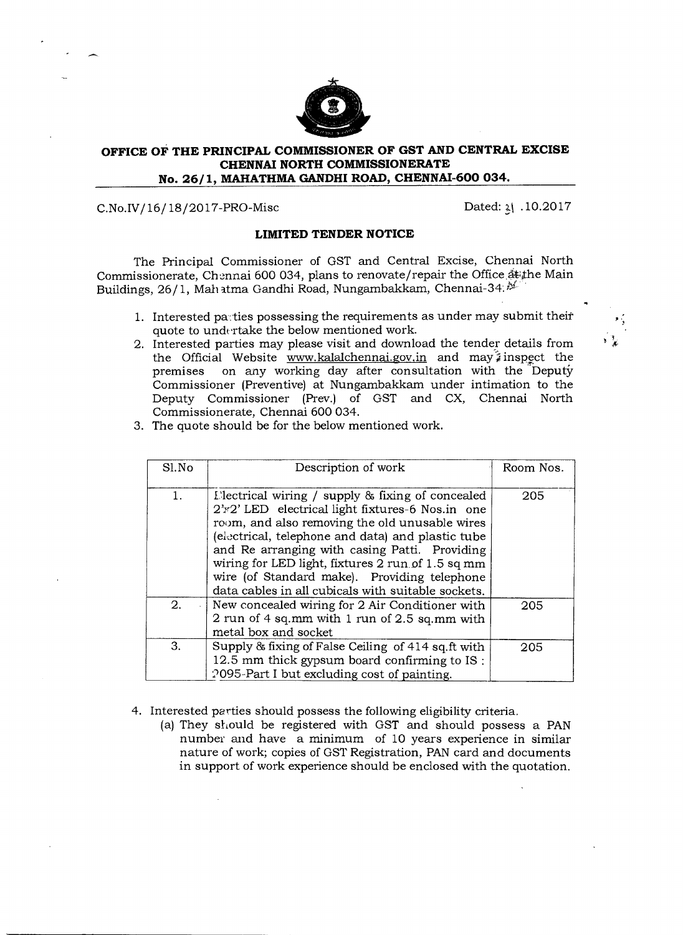

## **OFFICE OF THE PRINCIPAL COMMISSIONER OF GST AND CENTRAL EXCISE CHENNAI NORTH COMMISSIONERATE No. 26/1, MAHATHMA GANDHI ROAD, CHENNAI-600 034.**

## C.No.IV/16/18/2017-PRO-Misc Dated: 21 .10.2017

## **LIMITED TENDER NOTICE**

The Principal Commissioner of GST and Central Excise, Chennai North Commissionerate, Chennai 600 034, plans to renovate/repair the Office at the Main Buildings, 26/1, Mah atma Gandhi Road, Nungambakkam, Chennai-34. $\mathcal{V}$ 

- 1. Interested parties possessing the requirements as under may submit their quote to undertake the below mentioned work.
- 2. Interested parties may please visit and download the tender details from the Official Website www.kalalchennai.gov.in and may  $\hat{i}$  inspect the premises on any working day after consultation with the Deputy on any working day after consultation with the Deputy Commissioner (Preventive) at Nungambakkam under intimation to the Deputy Commissioner (Prey.) of GST and CX, Chennai North Commissionerate, Chennai 600 034.
- 3. The quote should be for the below mentioned work.

| Sl.No | Description of work                                                                                                                                                                                                                                                                                                                                                                                                     | Room Nos. |
|-------|-------------------------------------------------------------------------------------------------------------------------------------------------------------------------------------------------------------------------------------------------------------------------------------------------------------------------------------------------------------------------------------------------------------------------|-----------|
| 1.    | Electrical wiring / supply & fixing of concealed<br>2'x2' LED electrical light fixtures-6 Nos.in one<br>room, and also removing the old unusable wires<br>(electrical, telephone and data) and plastic tube<br>and Re arranging with casing Patti. Providing<br>wiring for LED light, fixtures 2 run of 1.5 sq mm<br>wire (of Standard make). Providing telephone<br>data cables in all cubicals with suitable sockets. | 205       |
| 2.    | New concealed wiring for 2 Air Conditioner with<br>2 run of 4 sq.mm with 1 run of 2.5 sq.mm with<br>metal box and socket                                                                                                                                                                                                                                                                                                | 205       |
| 3.    | Supply & fixing of False Ceiling of 414 sq.ft with<br>12.5 mm thick gypsum board confirming to IS:<br>2095-Part I but excluding cost of painting.                                                                                                                                                                                                                                                                       | 205       |

- 4. Interested parties should possess the following eligibility criteria.
	- (a) They should be registered with GST and should possess a PAN number and have a minimum of 10 years experience in similar nature of work; copies of GST Registration, PAN card and documents in support of work experience should be enclosed with the quotation.